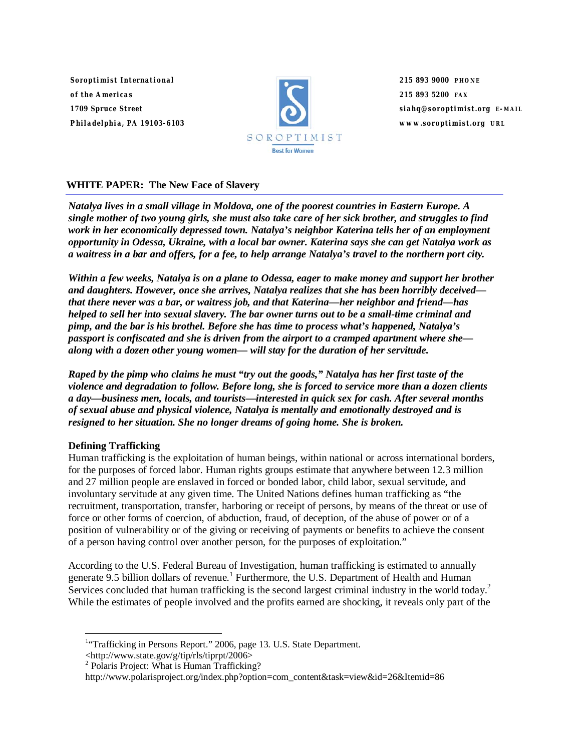*Soroptimist International of the Americas 1709 Spruce Street Philadelphia, PA 19103-6103*



*215 893 9000 PHONE 215 893 5200 FAX siahq@soroptimist.org E-MAIL www.soroptimist.org URL*

# **WHITE PAPER: The New Face of Slavery**

*Natalya lives in a small village in Moldova, one of the poorest countries in Eastern Europe. A single mother of two young girls, she must also take care of her sick brother, and struggles to find work in her economically depressed town. Natalya's neighbor Katerina tells her of an employment opportunity in Odessa, Ukraine, with a local bar owner. Katerina says she can get Natalya work as a waitress in a bar and offers, for a fee, to help arrange Natalya's travel to the northern port city.* 

*Within a few weeks, Natalya is on a plane to Odessa, eager to make money and support her brother and daughters. However, once she arrives, Natalya realizes that she has been horribly deceived that there never was a bar, or waitress job, and that Katerina—her neighbor and friend—has helped to sell her into sexual slavery. The bar owner turns out to be a small-time criminal and pimp, and the bar is his brothel. Before she has time to process what's happened, Natalya's passport is confiscated and she is driven from the airport to a cramped apartment where she along with a dozen other young women— will stay for the duration of her servitude.* 

*Raped by the pimp who claims he must "try out the goods," Natalya has her first taste of the violence and degradation to follow. Before long, she is forced to service more than a dozen clients a day—business men, locals, and tourists—interested in quick sex for cash. After several months of sexual abuse and physical violence, Natalya is mentally and emotionally destroyed and is resigned to her situation. She no longer dreams of going home. She is broken.* 

# **Defining Trafficking**

Human trafficking is the exploitation of human beings, within national or across international borders, for the purposes of forced labor. Human rights groups estimate that anywhere between 12.3 million and 27 million people are enslaved in forced or bonded labor, child labor, sexual servitude, and involuntary servitude at any given time. The United Nations defines human trafficking as "the recruitment, transportation, transfer, harboring or receipt of persons, by means of the threat or use of force or other forms of coercion, of abduction, fraud, of deception, of the abuse of power or of a position of vulnerability or of the giving or receiving of payments or benefits to achieve the consent of a person having control over another person, for the purposes of exploitation."

According to the U.S. Federal Bureau of Investigation, human trafficking is estimated to annually generate 9.5 billion dollars of revenue.<sup>1</sup> Furthermore, the U.S. Department of Health and Human Services concluded that human trafficking is the second largest criminal industry in the world today.<sup>2</sup> While the estimates of people involved and the profits earned are shocking, it reveals only part of the

 $\langle$ http://www.state.gov/g/tip/rls/tiprpt/2006>

 1 "Trafficking in Persons Report." 2006, page 13. U.S. State Department.

<sup>&</sup>lt;sup>2</sup> Polaris Project: What is Human Trafficking?

http://www.polarisproject.org/index.php?option=com\_content&task=view&id=26&Itemid=86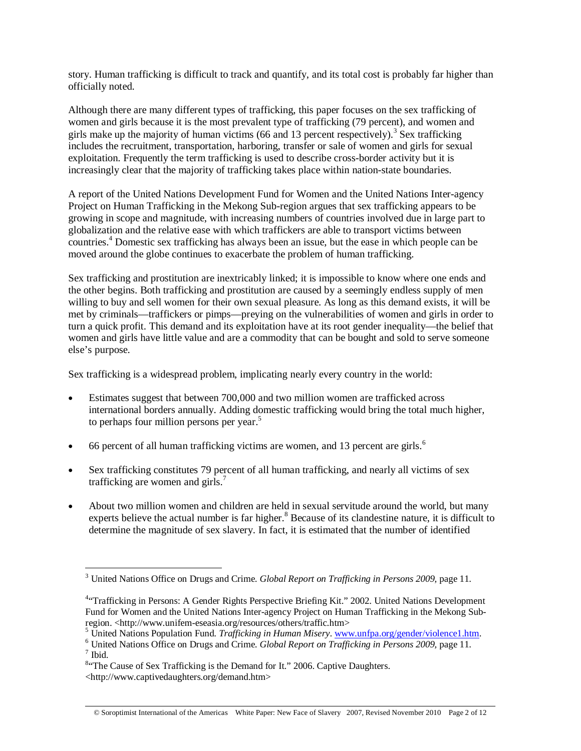story. Human trafficking is difficult to track and quantify, and its total cost is probably far higher than officially noted.

Although there are many different types of trafficking, this paper focuses on the sex trafficking of women and girls because it is the most prevalent type of trafficking (79 percent), and women and girls make up the majority of human victims (66 and 13 percent respectively).<sup>3</sup> Sex trafficking includes the recruitment, transportation, harboring, transfer or sale of women and girls for sexual exploitation. Frequently the term trafficking is used to describe cross-border activity but it is increasingly clear that the majority of trafficking takes place within nation-state boundaries.

A report of the United Nations Development Fund for Women and the United Nations Inter-agency Project on Human Trafficking in the Mekong Sub-region argues that sex trafficking appears to be growing in scope and magnitude, with increasing numbers of countries involved due in large part to globalization and the relative ease with which traffickers are able to transport victims between countries.<sup>4</sup> Domestic sex trafficking has always been an issue, but the ease in which people can be moved around the globe continues to exacerbate the problem of human trafficking.

Sex trafficking and prostitution are inextricably linked; it is impossible to know where one ends and the other begins. Both trafficking and prostitution are caused by a seemingly endless supply of men willing to buy and sell women for their own sexual pleasure. As long as this demand exists, it will be met by criminals—traffickers or pimps—preying on the vulnerabilities of women and girls in order to turn a quick profit. This demand and its exploitation have at its root gender inequality—the belief that women and girls have little value and are a commodity that can be bought and sold to serve someone else's purpose.

Sex trafficking is a widespread problem, implicating nearly every country in the world:

- Estimates suggest that between 700,000 and two million women are trafficked across international borders annually. Adding domestic trafficking would bring the total much higher, to perhaps four million persons per year.<sup>5</sup>
- 66 percent of all human trafficking victims are women, and 13 percent are girls.<sup>6</sup>
- Sex trafficking constitutes 79 percent of all human trafficking, and nearly all victims of sex trafficking are women and girls.<sup>7</sup>
- About two million women and children are held in sexual servitude around the world, but many experts believe the actual number is far higher.<sup>8</sup> Because of its clandestine nature, it is difficult to determine the magnitude of sex slavery. In fact, it is estimated that the number of identified

 $\overline{a}$ 

<sup>3</sup> United Nations Office on Drugs and Crime. *Global Report on Trafficking in Persons 2009,* page 11*.*

<sup>&</sup>lt;sup>4.</sup> Trafficking in Persons: A Gender Rights Perspective Briefing Kit." 2002. United Nations Development Fund for Women and the United Nations Inter-agency Project on Human Trafficking in the Mekong Subregion. <http://www.unifem-eseasia.org/resources/others/traffic.htm>

<sup>&</sup>lt;sup>5</sup> United Nations Population Fund. *Trafficking in Human Misery*. www.unfpa.org/gender/violence1.htm.  $^{6}$  United Nations Office on Drugs and Crime. Clobal Benewt on Trafficking in Benews 2000, nogo 11.

<sup>&</sup>lt;sup>6</sup> United Nations Office on Drugs and Crime. *Global Report on Trafficking in Persons 2009*, page 11.  $<sup>7</sup>$  Ibid.</sup>

<sup>&</sup>lt;sup>8</sup>"The Cause of Sex Trafficking is the Demand for It." 2006. Captive Daughters.

<sup>&</sup>lt;http://www.captivedaughters.org/demand.htm>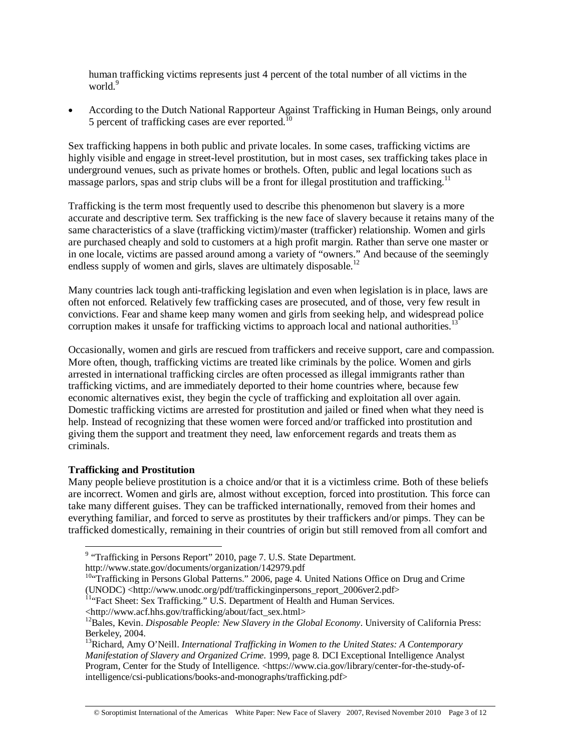human trafficking victims represents just 4 percent of the total number of all victims in the world.<sup>9</sup>

• According to the Dutch National Rapporteur Against Trafficking in Human Beings, only around 5 percent of trafficking cases are ever reported.<sup>10</sup>

Sex trafficking happens in both public and private locales. In some cases, trafficking victims are highly visible and engage in street-level prostitution, but in most cases, sex trafficking takes place in underground venues, such as private homes or brothels. Often, public and legal locations such as massage parlors, spas and strip clubs will be a front for illegal prostitution and trafficking.<sup>11</sup>

Trafficking is the term most frequently used to describe this phenomenon but slavery is a more accurate and descriptive term. Sex trafficking is the new face of slavery because it retains many of the same characteristics of a slave (trafficking victim)/master (trafficker) relationship. Women and girls are purchased cheaply and sold to customers at a high profit margin. Rather than serve one master or in one locale, victims are passed around among a variety of "owners." And because of the seemingly endless supply of women and girls, slaves are ultimately disposable.<sup>12</sup>

Many countries lack tough anti-trafficking legislation and even when legislation is in place, laws are often not enforced. Relatively few trafficking cases are prosecuted, and of those, very few result in convictions. Fear and shame keep many women and girls from seeking help, and widespread police corruption makes it unsafe for trafficking victims to approach local and national authorities.<sup>13</sup>

Occasionally, women and girls are rescued from traffickers and receive support, care and compassion. More often, though, trafficking victims are treated like criminals by the police. Women and girls arrested in international trafficking circles are often processed as illegal immigrants rather than trafficking victims, and are immediately deported to their home countries where, because few economic alternatives exist, they begin the cycle of trafficking and exploitation all over again. Domestic trafficking victims are arrested for prostitution and jailed or fined when what they need is help. Instead of recognizing that these women were forced and/or trafficked into prostitution and giving them the support and treatment they need, law enforcement regards and treats them as criminals.

# **Trafficking and Prostitution**

Many people believe prostitution is a choice and/or that it is a victimless crime. Both of these beliefs are incorrect. Women and girls are, almost without exception, forced into prostitution. This force can take many different guises. They can be trafficked internationally, removed from their homes and everything familiar, and forced to serve as prostitutes by their traffickers and/or pimps. They can be trafficked domestically, remaining in their countries of origin but still removed from all comfort and

<sup>&</sup>lt;sup>9</sup> "Trafficking in Persons Report" 2010, page 7. U.S. State Department.

http://www.state.gov/documents/organization/142979.pdf

<sup>&</sup>lt;sup>10"</sup>Trafficking in Persons Global Patterns." 2006, page 4. United Nations Office on Drug and Crime (UNODC) <http://www.unodc.org/pdf/traffickinginpersons\_report\_2006ver2.pdf>

 $\overline{H}$ <sup>11</sup>"Fact Sheet: Sex Trafficking." U.S. Department of Health and Human Services.

<sup>&</sup>lt;http://www.acf.hhs.gov/trafficking/about/fact\_sex.html>

<sup>&</sup>lt;sup>12</sup>Bales, Kevin. *Disposable People: New Slavery in the Global Economy*. University of California Press: Berkeley, 2004.

<sup>13</sup>Richard, Amy O'Neill. *International Trafficking in Women to the United States: A Contemporary Manifestation of Slavery and Organized Crime.* 1999, page 8. DCI Exceptional Intelligence Analyst Program, Center for the Study of Intelligence. <https://www.cia.gov/library/center-for-the-study-ofintelligence/csi-publications/books-and-monographs/trafficking.pdf>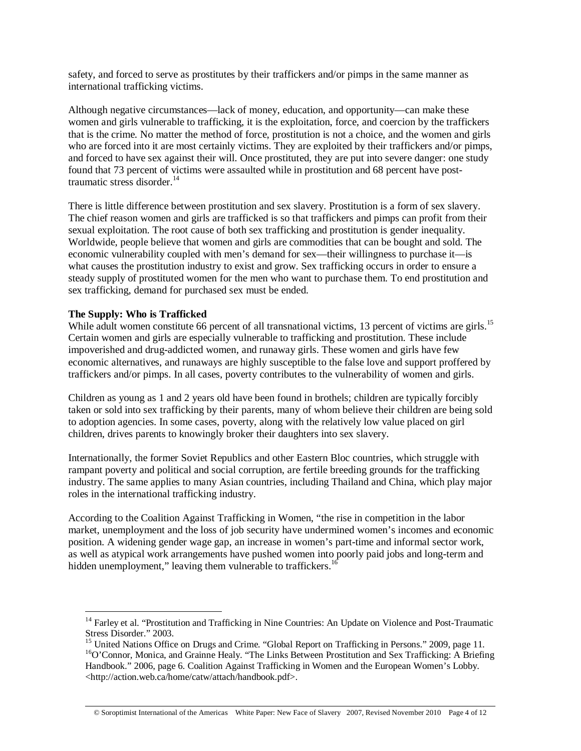safety, and forced to serve as prostitutes by their traffickers and/or pimps in the same manner as international trafficking victims.

Although negative circumstances—lack of money, education, and opportunity—can make these women and girls vulnerable to trafficking, it is the exploitation, force, and coercion by the traffickers that is the crime. No matter the method of force, prostitution is not a choice, and the women and girls who are forced into it are most certainly victims. They are exploited by their traffickers and/or pimps, and forced to have sex against their will. Once prostituted, they are put into severe danger: one study found that 73 percent of victims were assaulted while in prostitution and 68 percent have posttraumatic stress disorder. $14$ 

There is little difference between prostitution and sex slavery. Prostitution is a form of sex slavery. The chief reason women and girls are trafficked is so that traffickers and pimps can profit from their sexual exploitation. The root cause of both sex trafficking and prostitution is gender inequality. Worldwide, people believe that women and girls are commodities that can be bought and sold. The economic vulnerability coupled with men's demand for sex—their willingness to purchase it—is what causes the prostitution industry to exist and grow. Sex trafficking occurs in order to ensure a steady supply of prostituted women for the men who want to purchase them. To end prostitution and sex trafficking, demand for purchased sex must be ended.

### **The Supply: Who is Trafficked**

 $\overline{a}$ 

While adult women constitute 66 percent of all transnational victims, 13 percent of victims are girls.<sup>15</sup> Certain women and girls are especially vulnerable to trafficking and prostitution. These include impoverished and drug-addicted women, and runaway girls. These women and girls have few economic alternatives, and runaways are highly susceptible to the false love and support proffered by traffickers and/or pimps. In all cases, poverty contributes to the vulnerability of women and girls.

Children as young as 1 and 2 years old have been found in brothels; children are typically forcibly taken or sold into sex trafficking by their parents, many of whom believe their children are being sold to adoption agencies. In some cases, poverty, along with the relatively low value placed on girl children, drives parents to knowingly broker their daughters into sex slavery.

Internationally, the former Soviet Republics and other Eastern Bloc countries, which struggle with rampant poverty and political and social corruption, are fertile breeding grounds for the trafficking industry. The same applies to many Asian countries, including Thailand and China, which play major roles in the international trafficking industry.

According to the Coalition Against Trafficking in Women, "the rise in competition in the labor market, unemployment and the loss of job security have undermined women's incomes and economic position. A widening gender wage gap, an increase in women's part-time and informal sector work, as well as atypical work arrangements have pushed women into poorly paid jobs and long-term and hidden unemployment," leaving them vulnerable to traffickers.<sup>16</sup>

<sup>&</sup>lt;sup>14</sup> Farley et al. "Prostitution and Trafficking in Nine Countries: An Update on Violence and Post-Traumatic Stress Disorder." 2003.

<sup>&</sup>lt;sup>15</sup> United Nations Office on Drugs and Crime. "Global Report on Trafficking in Persons." 2009, page 11. <sup>16</sup>O'Connor, Monica, and Grainne Healy. "The Links Between Prostitution and Sex Trafficking: A Briefing Handbook." 2006, page 6. Coalition Against Trafficking in Women and the European Women's Lobby. <http://action.web.ca/home/catw/attach/handbook.pdf>.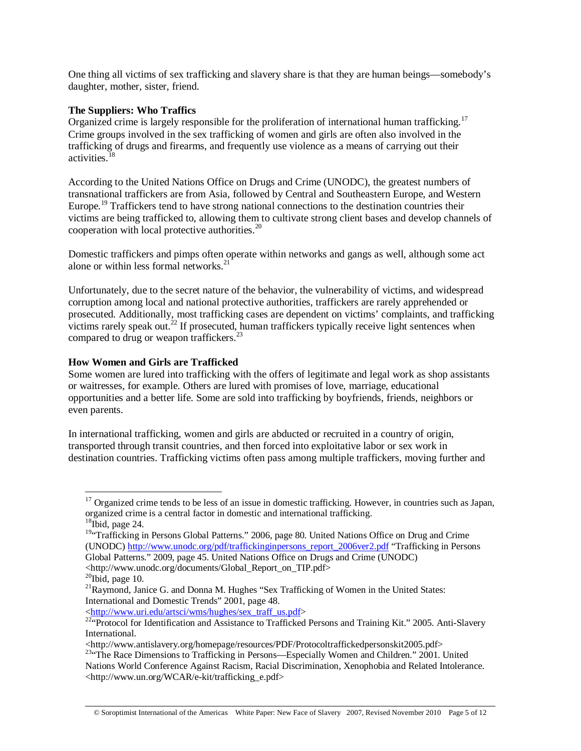One thing all victims of sex trafficking and slavery share is that they are human beings—somebody's daughter, mother, sister, friend.

# **The Suppliers: Who Traffics**

Organized crime is largely responsible for the proliferation of international human trafficking.<sup>17</sup> Crime groups involved in the sex trafficking of women and girls are often also involved in the trafficking of drugs and firearms, and frequently use violence as a means of carrying out their activities.<sup>18</sup>

According to the United Nations Office on Drugs and Crime (UNODC), the greatest numbers of transnational traffickers are from Asia, followed by Central and Southeastern Europe, and Western Europe.<sup>19</sup> Traffickers tend to have strong national connections to the destination countries their victims are being trafficked to, allowing them to cultivate strong client bases and develop channels of cooperation with local protective authorities.<sup>20</sup>

Domestic traffickers and pimps often operate within networks and gangs as well, although some act alone or within less formal networks. $^{21}$ 

Unfortunately, due to the secret nature of the behavior, the vulnerability of victims, and widespread corruption among local and national protective authorities, traffickers are rarely apprehended or prosecuted. Additionally, most trafficking cases are dependent on victims' complaints, and trafficking victims rarely speak out.<sup>22</sup> If prosecuted, human traffickers typically receive light sentences when compared to drug or weapon traffickers.<sup>23</sup>

# **How Women and Girls are Trafficked**

Some women are lured into trafficking with the offers of legitimate and legal work as shop assistants or waitresses, for example. Others are lured with promises of love, marriage, educational opportunities and a better life. Some are sold into trafficking by boyfriends, friends, neighbors or even parents.

In international trafficking, women and girls are abducted or recruited in a country of origin, transported through transit countries, and then forced into exploitative labor or sex work in destination countries. Trafficking victims often pass among multiple traffickers, moving further and

 $\overline{a}$ 

<sup>&</sup>lt;sup>17</sup> Organized crime tends to be less of an issue in domestic trafficking. However, in countries such as Japan, organized crime is a central factor in domestic and international trafficking.

 $18$ Ibid, page 24.

<sup>&</sup>lt;sup>19</sup>"Trafficking in Persons Global Patterns." 2006, page 80. United Nations Office on Drug and Crime (UNODC) http://www.unodc.org/pdf/traffickinginpersons\_report\_2006ver2.pdf "Trafficking in Persons Global Patterns." 2009, page 45. United Nations Office on Drugs and Crime (UNODC) <http://www.unodc.org/documents/Global\_Report\_on\_TIP.pdf>

 $20$ Ibid, page 10.

<sup>&</sup>lt;sup>21</sup>Raymond, Janice G. and Donna M. Hughes "Sex Trafficking of Women in the United States: International and Domestic Trends" 2001, page 48.

<sup>&</sup>lt;http://www.uri.edu/artsci/wms/hughes/sex\_traff\_us.pdf> 22"Protocol for Identification and Assistance to Trafficked Persons and Training Kit." 2005. Anti-Slavery International.

<sup>&</sup>lt;http://www.antislavery.org/homepage/resources/PDF/Protocoltraffickedpersonskit2005.pdf>

<sup>&</sup>lt;sup>23.</sup> The Race Dimensions to Trafficking in Persons—Especially Women and Children." 2001. United Nations World Conference Against Racism, Racial Discrimination, Xenophobia and Related Intolerance. <http://www.un.org/WCAR/e-kit/trafficking\_e.pdf>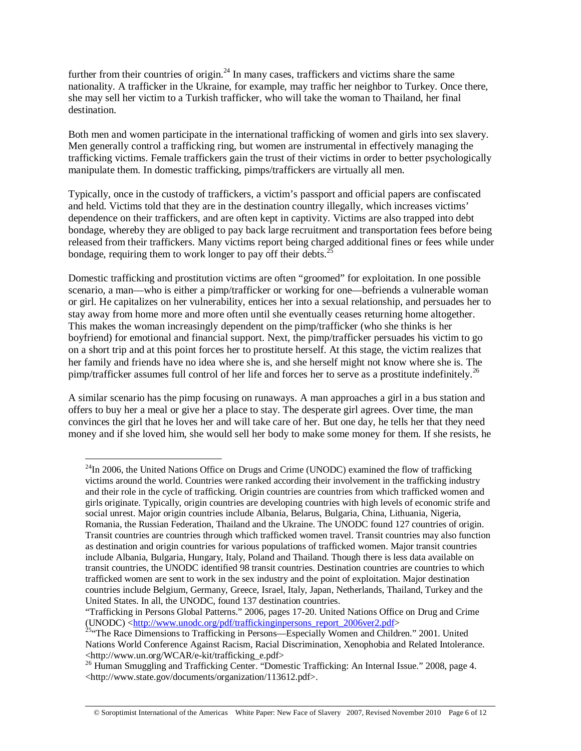further from their countries of origin.<sup>24</sup> In many cases, traffickers and victims share the same nationality. A trafficker in the Ukraine, for example, may traffic her neighbor to Turkey. Once there, she may sell her victim to a Turkish trafficker, who will take the woman to Thailand, her final destination.

Both men and women participate in the international trafficking of women and girls into sex slavery. Men generally control a trafficking ring, but women are instrumental in effectively managing the trafficking victims. Female traffickers gain the trust of their victims in order to better psychologically manipulate them. In domestic trafficking, pimps/traffickers are virtually all men.

Typically, once in the custody of traffickers, a victim's passport and official papers are confiscated and held. Victims told that they are in the destination country illegally, which increases victims' dependence on their traffickers, and are often kept in captivity. Victims are also trapped into debt bondage, whereby they are obliged to pay back large recruitment and transportation fees before being released from their traffickers. Many victims report being charged additional fines or fees while under bondage, requiring them to work longer to pay off their debts. $^{25}$ 

Domestic trafficking and prostitution victims are often "groomed" for exploitation. In one possible scenario, a man—who is either a pimp/trafficker or working for one—befriends a vulnerable woman or girl. He capitalizes on her vulnerability, entices her into a sexual relationship, and persuades her to stay away from home more and more often until she eventually ceases returning home altogether. This makes the woman increasingly dependent on the pimp/trafficker (who she thinks is her boyfriend) for emotional and financial support. Next, the pimp/trafficker persuades his victim to go on a short trip and at this point forces her to prostitute herself. At this stage, the victim realizes that her family and friends have no idea where she is, and she herself might not know where she is. The pimp/trafficker assumes full control of her life and forces her to serve as a prostitute indefinitely.<sup>26</sup>

A similar scenario has the pimp focusing on runaways. A man approaches a girl in a bus station and offers to buy her a meal or give her a place to stay. The desperate girl agrees. Over time, the man convinces the girl that he loves her and will take care of her. But one day, he tells her that they need money and if she loved him, she would sell her body to make some money for them. If she resists, he

 $\overline{a}$ 

 $^{24}$ In 2006, the United Nations Office on Drugs and Crime (UNODC) examined the flow of trafficking victims around the world. Countries were ranked according their involvement in the trafficking industry and their role in the cycle of trafficking. Origin countries are countries from which trafficked women and girls originate. Typically, origin countries are developing countries with high levels of economic strife and social unrest. Major origin countries include Albania, Belarus, Bulgaria, China, Lithuania, Nigeria, Romania, the Russian Federation, Thailand and the Ukraine. The UNODC found 127 countries of origin. Transit countries are countries through which trafficked women travel. Transit countries may also function as destination and origin countries for various populations of trafficked women. Major transit countries include Albania, Bulgaria, Hungary, Italy, Poland and Thailand. Though there is less data available on transit countries, the UNODC identified 98 transit countries. Destination countries are countries to which trafficked women are sent to work in the sex industry and the point of exploitation. Major destination countries include Belgium, Germany, Greece, Israel, Italy, Japan, Netherlands, Thailand, Turkey and the United States. In all, the UNODC, found 137 destination countries.

<sup>&</sup>quot;Trafficking in Persons Global Patterns." 2006, pages 17-20. United Nations Office on Drug and Crime (UNODC) <http://www.unodc.org/pdf/traffickinginpersons report 2006ver2.pdf>

 $\frac{25}{4}$  The Race Dimensions to Trafficking in Persons—Especially Women and Children." 2001. United Nations World Conference Against Racism, Racial Discrimination, Xenophobia and Related Intolerance. <http://www.un.org/WCAR/e-kit/trafficking\_e.pdf>

<sup>&</sup>lt;sup>26</sup> Human Smuggling and Trafficking Center. "Domestic Trafficking: An Internal Issue." 2008, page 4. <http://www.state.gov/documents/organization/113612.pdf>.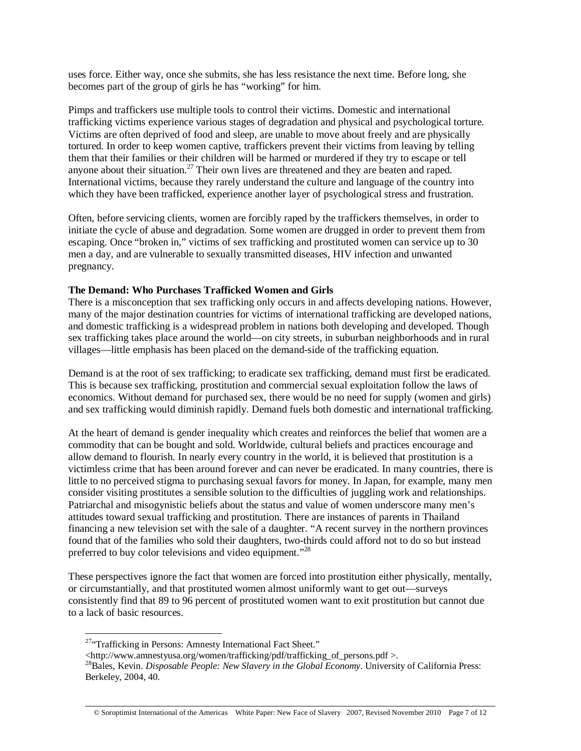uses force. Either way, once she submits, she has less resistance the next time. Before long, she becomes part of the group of girls he has "working" for him.

Pimps and traffickers use multiple tools to control their victims. Domestic and international trafficking victims experience various stages of degradation and physical and psychological torture. Victims are often deprived of food and sleep, are unable to move about freely and are physically tortured. In order to keep women captive, traffickers prevent their victims from leaving by telling them that their families or their children will be harmed or murdered if they try to escape or tell anyone about their situation.<sup>27</sup> Their own lives are threatened and they are beaten and raped. International victims, because they rarely understand the culture and language of the country into which they have been trafficked, experience another layer of psychological stress and frustration.

Often, before servicing clients, women are forcibly raped by the traffickers themselves, in order to initiate the cycle of abuse and degradation. Some women are drugged in order to prevent them from escaping. Once "broken in," victims of sex trafficking and prostituted women can service up to 30 men a day, and are vulnerable to sexually transmitted diseases, HIV infection and unwanted pregnancy.

### **The Demand: Who Purchases Trafficked Women and Girls**

There is a misconception that sex trafficking only occurs in and affects developing nations. However, many of the major destination countries for victims of international trafficking are developed nations, and domestic trafficking is a widespread problem in nations both developing and developed. Though sex trafficking takes place around the world—on city streets, in suburban neighborhoods and in rural villages—little emphasis has been placed on the demand-side of the trafficking equation.

Demand is at the root of sex trafficking; to eradicate sex trafficking, demand must first be eradicated. This is because sex trafficking, prostitution and commercial sexual exploitation follow the laws of economics. Without demand for purchased sex, there would be no need for supply (women and girls) and sex trafficking would diminish rapidly. Demand fuels both domestic and international trafficking.

At the heart of demand is gender inequality which creates and reinforces the belief that women are a commodity that can be bought and sold. Worldwide, cultural beliefs and practices encourage and allow demand to flourish. In nearly every country in the world, it is believed that prostitution is a victimless crime that has been around forever and can never be eradicated. In many countries, there is little to no perceived stigma to purchasing sexual favors for money. In Japan, for example, many men consider visiting prostitutes a sensible solution to the difficulties of juggling work and relationships. Patriarchal and misogynistic beliefs about the status and value of women underscore many men's attitudes toward sexual trafficking and prostitution. There are instances of parents in Thailand financing a new television set with the sale of a daughter. "A recent survey in the northern provinces found that of the families who sold their daughters, two-thirds could afford not to do so but instead preferred to buy color televisions and video equipment."<sup>28</sup>

These perspectives ignore the fact that women are forced into prostitution either physically, mentally, or circumstantially, and that prostituted women almost uniformly want to get out—surveys consistently find that 89 to 96 percent of prostituted women want to exit prostitution but cannot due to a lack of basic resources.

 $\overline{a}$ <sup>27</sup>"Trafficking in Persons: Amnesty International Fact Sheet."

<sup>&</sup>lt;http://www.amnestyusa.org/women/trafficking/pdf/trafficking\_of\_persons.pdf >.

<sup>28</sup>Bales, Kevin. *Disposable People: New Slavery in the Global Economy*. University of California Press: Berkeley, 2004, 40.

<sup>©</sup> Soroptimist International of the Americas White Paper: New Face of Slavery 2007, Revised November 2010 Page 7 of 12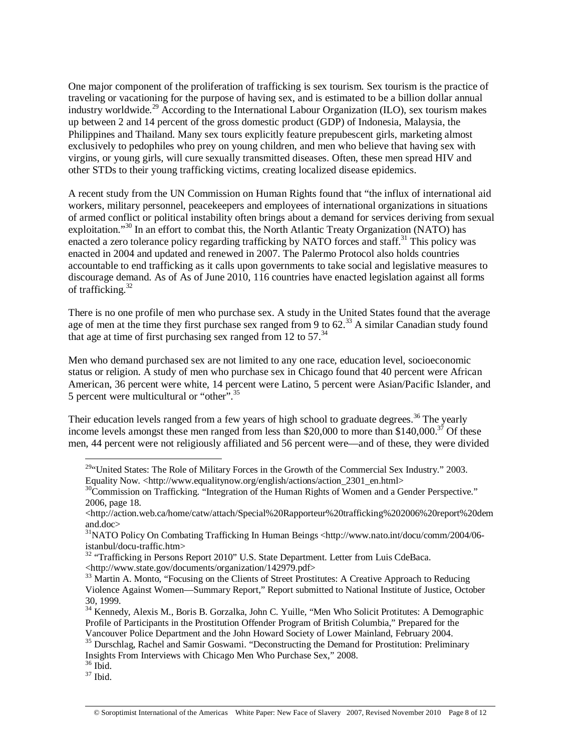One major component of the proliferation of trafficking is sex tourism. Sex tourism is the practice of traveling or vacationing for the purpose of having sex, and is estimated to be a billion dollar annual industry worldwide.<sup>29</sup> According to the International Labour Organization (ILO), sex tourism makes up between 2 and 14 percent of the gross domestic product (GDP) of Indonesia, Malaysia, the Philippines and Thailand. Many sex tours explicitly feature prepubescent girls, marketing almost exclusively to pedophiles who prey on young children, and men who believe that having sex with virgins, or young girls, will cure sexually transmitted diseases. Often, these men spread HIV and other STDs to their young trafficking victims, creating localized disease epidemics.

A recent study from the UN Commission on Human Rights found that "the influx of international aid workers, military personnel, peacekeepers and employees of international organizations in situations of armed conflict or political instability often brings about a demand for services deriving from sexual exploitation."<sup>30</sup> In an effort to combat this, the North Atlantic Treaty Organization (NATO) has enacted a zero tolerance policy regarding trafficking by NATO forces and staff.<sup>31</sup> This policy was enacted in 2004 and updated and renewed in 2007. The Palermo Protocol also holds countries accountable to end trafficking as it calls upon governments to take social and legislative measures to discourage demand. As of As of June 2010, 116 countries have enacted legislation against all forms of trafficking.<sup>32</sup>

There is no one profile of men who purchase sex. A study in the United States found that the average age of men at the time they first purchase sex ranged from 9 to 62.<sup>33</sup> A similar Canadian study found that age at time of first purchasing sex ranged from 12 to  $57<sup>34</sup>$ 

Men who demand purchased sex are not limited to any one race, education level, socioeconomic status or religion. A study of men who purchase sex in Chicago found that 40 percent were African American, 36 percent were white, 14 percent were Latino, 5 percent were Asian/Pacific Islander, and 5 percent were multicultural or "other".35

Their education levels ranged from a few years of high school to graduate degrees.<sup>36</sup> The yearly income levels amongst these men ranged from less than \$20,000 to more than \$140,000.<sup>37</sup> Of these men, 44 percent were not religiously affiliated and 56 percent were—and of these, they were divided

36 Ibid.

37 Ibid.

 $\overline{a}$  $29$ "United States: The Role of Military Forces in the Growth of the Commercial Sex Industry." 2003. Equality Now. <http://www.equalitynow.org/english/actions/action 2301 en.html>

 $30$ Commission on Trafficking. "Integration of the Human Rights of Women and a Gender Perspective." 2006, page 18.

<sup>&</sup>lt;http://action.web.ca/home/catw/attach/Special%20Rapporteur%20trafficking%202006%20report%20dem and.doc>

<sup>&</sup>lt;sup>31</sup>NATO Policy On Combating Trafficking In Human Beings <http://www.nato.int/docu/comm/2004/06istanbul/docu-traffic.htm>

 $32$  "Trafficking in Persons Report 2010" U.S. State Department. Letter from Luis CdeBaca. <http://www.state.gov/documents/organization/142979.pdf>

<sup>&</sup>lt;sup>33</sup> Martin A. Monto, "Focusing on the Clients of Street Prostitutes: A Creative Approach to Reducing Violence Against Women—Summary Report," Report submitted to National Institute of Justice, October 30, 1999.

<sup>&</sup>lt;sup>34</sup> Kennedy, Alexis M., Boris B. Gorzalka, John C. Yuille, "Men Who Solicit Protitutes: A Demographic Profile of Participants in the Prostitution Offender Program of British Columbia," Prepared for the Vancouver Police Department and the John Howard Society of Lower Mainland, February 2004.

<sup>&</sup>lt;sup>35</sup> Durschlag, Rachel and Samir Goswami. "Deconstructing the Demand for Prostitution: Preliminary Insights From Interviews with Chicago Men Who Purchase Sex," 2008.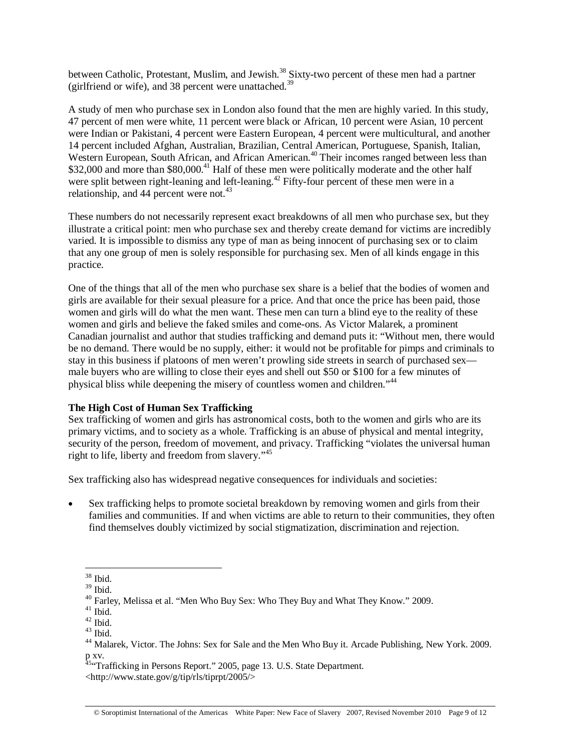between Catholic, Protestant, Muslim, and Jewish.<sup>38</sup> Sixty-two percent of these men had a partner (girlfriend or wife), and 38 percent were unattached. $39$ 

A study of men who purchase sex in London also found that the men are highly varied. In this study, 47 percent of men were white, 11 percent were black or African, 10 percent were Asian, 10 percent were Indian or Pakistani, 4 percent were Eastern European, 4 percent were multicultural, and another 14 percent included Afghan, Australian, Brazilian, Central American, Portuguese, Spanish, Italian, Western European, South African, and African American.<sup>40</sup> Their incomes ranged between less than \$32,000 and more than \$80,000.<sup>41</sup> Half of these men were politically moderate and the other half were split between right-leaning and left-leaning.<sup>42</sup> Fifty-four percent of these men were in a relationship, and 44 percent were not.<sup>43</sup>

These numbers do not necessarily represent exact breakdowns of all men who purchase sex, but they illustrate a critical point: men who purchase sex and thereby create demand for victims are incredibly varied. It is impossible to dismiss any type of man as being innocent of purchasing sex or to claim that any one group of men is solely responsible for purchasing sex. Men of all kinds engage in this practice.

One of the things that all of the men who purchase sex share is a belief that the bodies of women and girls are available for their sexual pleasure for a price. And that once the price has been paid, those women and girls will do what the men want. These men can turn a blind eye to the reality of these women and girls and believe the faked smiles and come-ons. As Victor Malarek, a prominent Canadian journalist and author that studies trafficking and demand puts it: "Without men, there would be no demand. There would be no supply, either: it would not be profitable for pimps and criminals to stay in this business if platoons of men weren't prowling side streets in search of purchased sex male buyers who are willing to close their eyes and shell out \$50 or \$100 for a few minutes of physical bliss while deepening the misery of countless women and children."44

# **The High Cost of Human Sex Trafficking**

Sex trafficking of women and girls has astronomical costs, both to the women and girls who are its primary victims, and to society as a whole. Trafficking is an abuse of physical and mental integrity, security of the person, freedom of movement, and privacy. Trafficking "violates the universal human right to life, liberty and freedom from slavery."<sup>45</sup>

Sex trafficking also has widespread negative consequences for individuals and societies:

• Sex trafficking helps to promote societal breakdown by removing women and girls from their families and communities. If and when victims are able to return to their communities, they often find themselves doubly victimized by social stigmatization, discrimination and rejection.

 $\overline{a}$ 38 Ibid.

<sup>39</sup> Ibid.

 $40$  Farley, Melissa et al. "Men Who Buy Sex: Who They Buy and What They Know." 2009.

 $41$  Ibid.

 $42$  Ibid.

 $43$  Ibid.

<sup>44</sup> Malarek, Victor. The Johns: Sex for Sale and the Men Who Buy it. Arcade Publishing, New York. 2009. p xv.

<sup>&</sup>lt;sup>45.</sup> Trafficking in Persons Report." 2005, page 13. U.S. State Department. <http://www.state.gov/g/tip/rls/tiprpt/2005/>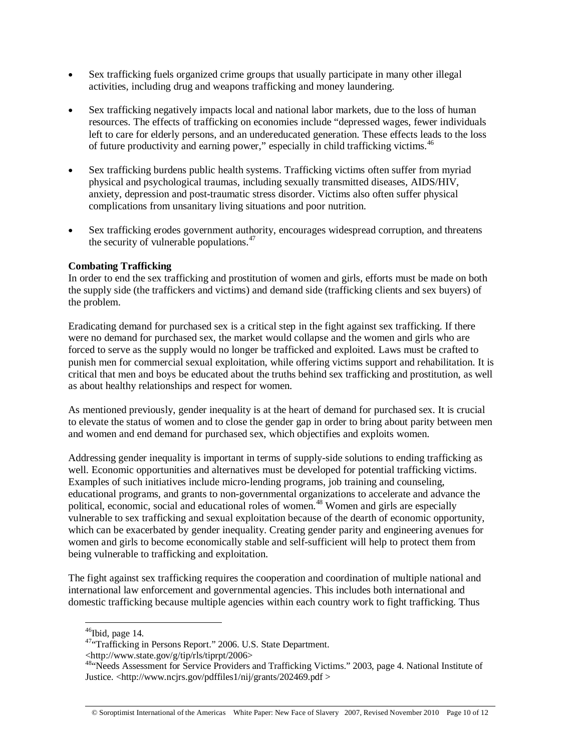- Sex trafficking fuels organized crime groups that usually participate in many other illegal activities, including drug and weapons trafficking and money laundering.
- Sex trafficking negatively impacts local and national labor markets, due to the loss of human resources. The effects of trafficking on economies include "depressed wages, fewer individuals left to care for elderly persons, and an undereducated generation. These effects leads to the loss of future productivity and earning power," especially in child trafficking victims.<sup>46</sup>
- Sex trafficking burdens public health systems. Trafficking victims often suffer from myriad physical and psychological traumas, including sexually transmitted diseases, AIDS/HIV, anxiety, depression and post-traumatic stress disorder. Victims also often suffer physical complications from unsanitary living situations and poor nutrition.
- Sex trafficking erodes government authority, encourages widespread corruption, and threatens the security of vulnerable populations. $47$

# **Combating Trafficking**

In order to end the sex trafficking and prostitution of women and girls, efforts must be made on both the supply side (the traffickers and victims) and demand side (trafficking clients and sex buyers) of the problem.

Eradicating demand for purchased sex is a critical step in the fight against sex trafficking. If there were no demand for purchased sex, the market would collapse and the women and girls who are forced to serve as the supply would no longer be trafficked and exploited. Laws must be crafted to punish men for commercial sexual exploitation, while offering victims support and rehabilitation. It is critical that men and boys be educated about the truths behind sex trafficking and prostitution, as well as about healthy relationships and respect for women.

As mentioned previously, gender inequality is at the heart of demand for purchased sex. It is crucial to elevate the status of women and to close the gender gap in order to bring about parity between men and women and end demand for purchased sex, which objectifies and exploits women.

Addressing gender inequality is important in terms of supply-side solutions to ending trafficking as well. Economic opportunities and alternatives must be developed for potential trafficking victims. Examples of such initiatives include micro-lending programs, job training and counseling, educational programs, and grants to non-governmental organizations to accelerate and advance the political, economic, social and educational roles of women.48 Women and girls are especially vulnerable to sex trafficking and sexual exploitation because of the dearth of economic opportunity, which can be exacerbated by gender inequality. Creating gender parity and engineering avenues for women and girls to become economically stable and self-sufficient will help to protect them from being vulnerable to trafficking and exploitation.

The fight against sex trafficking requires the cooperation and coordination of multiple national and international law enforcement and governmental agencies. This includes both international and domestic trafficking because multiple agencies within each country work to fight trafficking. Thus

 $\overline{a}$ <sup>46</sup>Ibid, page 14.

<sup>&</sup>lt;sup>47</sup>"Trafficking in Persons Report." 2006. U.S. State Department.<br><http://www.state.gov/g/tip/rls/tiprpt/2006>

<sup>&</sup>lt;sup>48.</sup> Needs Assessment for Service Providers and Trafficking Victims." 2003, page 4. National Institute of Justice. <http://www.ncjrs.gov/pdffiles1/nij/grants/202469.pdf >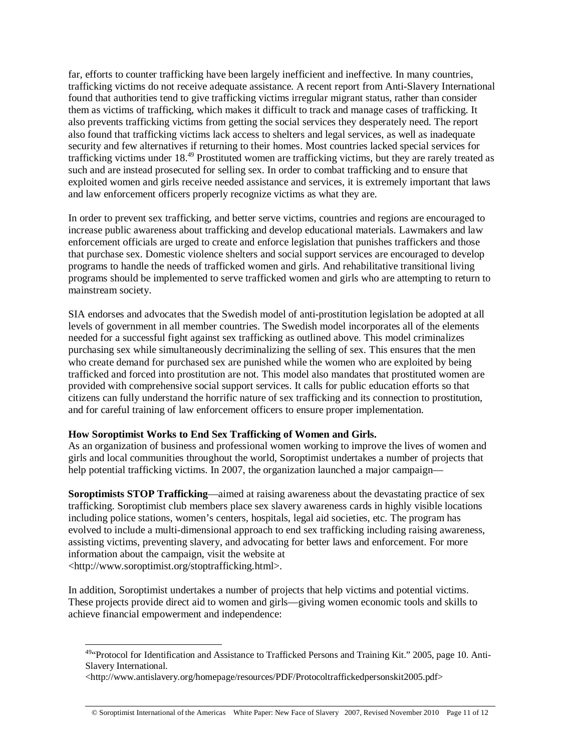far, efforts to counter trafficking have been largely inefficient and ineffective. In many countries, trafficking victims do not receive adequate assistance. A recent report from Anti-Slavery International found that authorities tend to give trafficking victims irregular migrant status, rather than consider them as victims of trafficking, which makes it difficult to track and manage cases of trafficking. It also prevents trafficking victims from getting the social services they desperately need. The report also found that trafficking victims lack access to shelters and legal services, as well as inadequate security and few alternatives if returning to their homes. Most countries lacked special services for trafficking victims under 18.49 Prostituted women are trafficking victims, but they are rarely treated as such and are instead prosecuted for selling sex. In order to combat trafficking and to ensure that exploited women and girls receive needed assistance and services, it is extremely important that laws and law enforcement officers properly recognize victims as what they are.

In order to prevent sex trafficking, and better serve victims, countries and regions are encouraged to increase public awareness about trafficking and develop educational materials. Lawmakers and law enforcement officials are urged to create and enforce legislation that punishes traffickers and those that purchase sex. Domestic violence shelters and social support services are encouraged to develop programs to handle the needs of trafficked women and girls. And rehabilitative transitional living programs should be implemented to serve trafficked women and girls who are attempting to return to mainstream society.

SIA endorses and advocates that the Swedish model of anti-prostitution legislation be adopted at all levels of government in all member countries. The Swedish model incorporates all of the elements needed for a successful fight against sex trafficking as outlined above. This model criminalizes purchasing sex while simultaneously decriminalizing the selling of sex. This ensures that the men who create demand for purchased sex are punished while the women who are exploited by being trafficked and forced into prostitution are not. This model also mandates that prostituted women are provided with comprehensive social support services. It calls for public education efforts so that citizens can fully understand the horrific nature of sex trafficking and its connection to prostitution, and for careful training of law enforcement officers to ensure proper implementation.

# **How Soroptimist Works to End Sex Trafficking of Women and Girls.**

 $\overline{a}$ 

As an organization of business and professional women working to improve the lives of women and girls and local communities throughout the world, Soroptimist undertakes a number of projects that help potential trafficking victims. In 2007, the organization launched a major campaign—

**Soroptimists STOP Trafficking**—aimed at raising awareness about the devastating practice of sex trafficking. Soroptimist club members place sex slavery awareness cards in highly visible locations including police stations, women's centers, hospitals, legal aid societies, etc. The program has evolved to include a multi-dimensional approach to end sex trafficking including raising awareness, assisting victims, preventing slavery, and advocating for better laws and enforcement. For more information about the campaign, visit the website at <http://www.soroptimist.org/stoptrafficking.html>.

In addition, Soroptimist undertakes a number of projects that help victims and potential victims. These projects provide direct aid to women and girls—giving women economic tools and skills to achieve financial empowerment and independence:

<sup>&</sup>lt;sup>49</sup> Protocol for Identification and Assistance to Trafficked Persons and Training Kit." 2005, page 10. Anti-Slavery International.

<sup>&</sup>lt;http://www.antislavery.org/homepage/resources/PDF/Protocoltraffickedpersonskit2005.pdf>